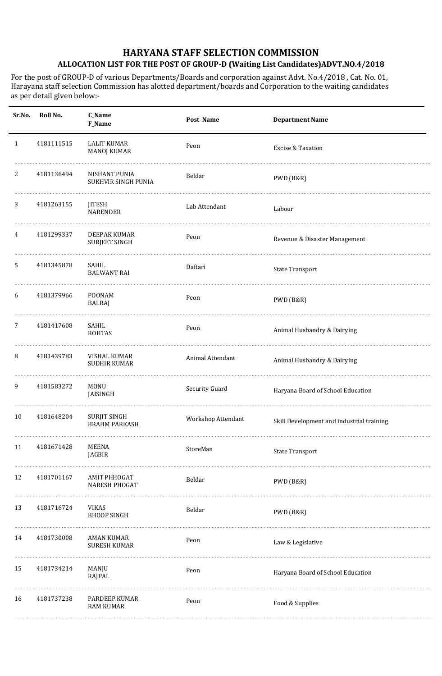For the post of GROUP-D of various Departments/Boards and corporation against Advt. No.4/2018 , Cat. No. 01, Harayana staff selection Commission has alotted department/boards and Corporation to the waiting candidates as per detail given below:-

| Sr.No.       | Roll No.   | <b>C_Name</b><br>F_Name                     | Post Name          | <b>Department Name</b>                    |
|--------------|------------|---------------------------------------------|--------------------|-------------------------------------------|
| $\mathbf{1}$ | 4181111515 | <b>LALIT KUMAR</b><br><b>MANOJ KUMAR</b>    | Peon               | Excise & Taxation                         |
| 2            | 4181136494 | NISHANT PUNIA<br>SUKHVIR SINGH PUNIA<br>.   | Beldar             | PWD (B&R)                                 |
| 3            | 4181263155 | <b>JITESH</b><br><b>NARENDER</b>            | Lab Attendant      | Labour                                    |
| 4            | 4181299337 | DEEPAK KUMAR<br><b>SURJEET SINGH</b>        | Peon               | Revenue & Disaster Management             |
| 5            | 4181345878 | SAHIL<br><b>BALWANT RAI</b>                 | Daftari            | <b>State Transport</b>                    |
| 6            | 4181379966 | <b>POONAM</b><br>BALRAJ                     | Peon               | PWD (B&R)                                 |
| 7            | 4181417608 | SAHIL<br><b>ROHTAS</b>                      | Peon               | Animal Husbandry & Dairying               |
| 8            | 4181439783 | VISHAL KUMAR<br><b>SUDHIR KUMAR</b>         | Animal Attendant   | Animal Husbandry & Dairying               |
| 9            | 4181583272 | <b>MONU</b><br>JAISINGH                     | Security Guard     | Haryana Board of School Education         |
| 10           | 4181648204 | <b>SURJIT SINGH</b><br><b>BRAHM PARKASH</b> | Workshop Attendant | Skill Development and industrial training |
| 11           | 4181671428 | MEENA<br>JAGBIR                             | StoreMan           | <b>State Transport</b>                    |
| 12           | 4181701167 | <b>AMIT PHHOGAT</b><br><b>NARESH PHOGAT</b> | Beldar             | PWD (B&R)                                 |
| 13           | 4181716724 | <b>VIKAS</b><br><b>BHOOP SINGH</b>          | Beldar             | PWD (B&R)                                 |
| 14           | 4181730008 | <b>AMAN KUMAR</b><br><b>SURESH KUMAR</b>    | Peon               | Law & Legislative                         |
| 15           | 4181734214 | MANJU<br>RAJPAL                             | Peon               | Haryana Board of School Education         |
| 16           | 4181737238 | PARDEEP KUMAR<br><b>RAM KUMAR</b>           | Peon               | Food & Supplies                           |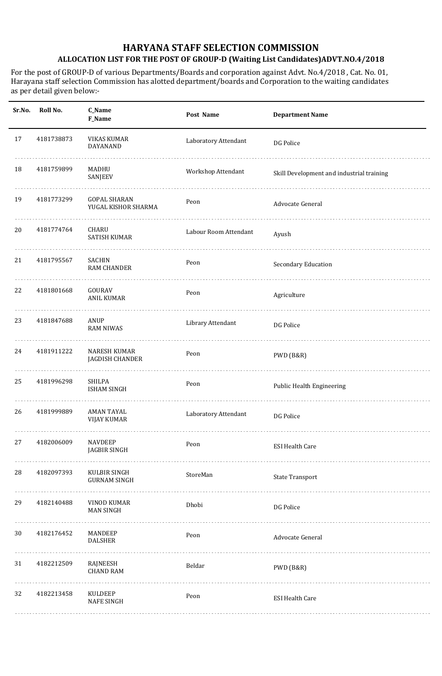For the post of GROUP-D of various Departments/Boards and corporation against Advt. No.4/2018 , Cat. No. 01, Harayana staff selection Commission has alotted department/boards and Corporation to the waiting candidates as per detail given below:-

| Sr.No. | Roll No.   | C_Name<br>F_Name                           | Post Name             | <b>Department Name</b>                    |
|--------|------------|--------------------------------------------|-----------------------|-------------------------------------------|
| 17     | 4181738873 | VIKAS KUMAR<br>DAYANAND                    | Laboratory Attendant  | DG Police                                 |
| 18     | 4181759899 | MADHU<br>SANJEEV                           | Workshop Attendant    | Skill Development and industrial training |
| 19     | 4181773299 | <b>GOPAL SHARAN</b><br>YUGAL KISHOR SHARMA | Peon                  | Advocate General                          |
| 20     | 4181774764 | CHARU<br><b>SATISH KUMAR</b>               | Labour Room Attendant | Ayush                                     |
| 21     | 4181795567 | SACHIN<br><b>RAM CHANDER</b>               | Peon                  | Secondary Education                       |
| 22     | 4181801668 | GOURAV<br><b>ANIL KUMAR</b>                | Peon                  | Agriculture                               |
| 23     | 4181847688 | ANUP<br><b>RAM NIWAS</b>                   | Library Attendant     | DG Police                                 |
| 24     | 4181911222 | <b>NARESH KUMAR</b><br>JAGDISH CHANDER     | Peon                  | PWD (B&R)                                 |
| 25     | 4181996298 | SHILPA<br><b>ISHAM SINGH</b>               | Peon                  | Public Health Engineering                 |
| 26     | 4181999889 | <b>AMAN TAYAL</b><br><b>VIJAY KUMAR</b>    | Laboratory Attendant  | DG Police                                 |
| 27     | 4182006009 | <b>NAVDEEP</b><br><b>JAGBIR SINGH</b>      | Peon                  | <b>ESI Health Care</b>                    |
| 28     | 4182097393 | KULBIR SINGH<br><b>GURNAM SINGH</b>        | StoreMan              | <b>State Transport</b>                    |
| 29     | 4182140488 | VINOD KUMAR<br><b>MAN SINGH</b>            | Dhobi                 | DG Police                                 |
| 30     | 4182176452 | MANDEEP<br><b>DALSHER</b>                  | Peon                  | Advocate General                          |
| 31     | 4182212509 | RAJNEESH<br><b>CHAND RAM</b>               | Beldar                | PWD (B&R)                                 |
| 32     | 4182213458 | KULDEEP<br><b>NAFE SINGH</b>               | Peon                  | <b>ESI Health Care</b>                    |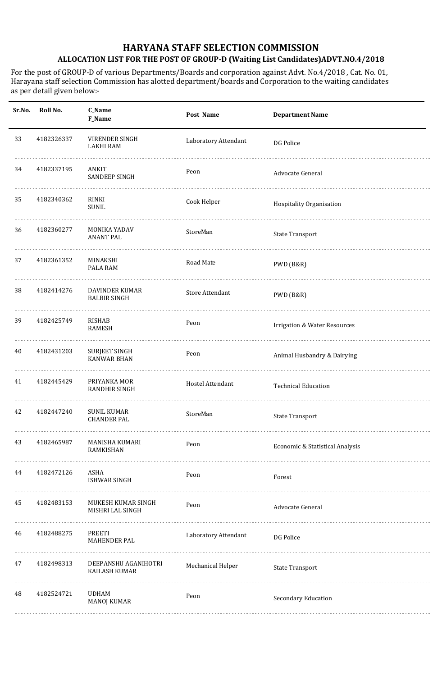For the post of GROUP-D of various Departments/Boards and corporation against Advt. No.4/2018 , Cat. No. 01, Harayana staff selection Commission has alotted department/boards and Corporation to the waiting candidates as per detail given below:-

| Sr.No. | Roll No.   | C_Name<br>F_Name                             | Post Name              | <b>Department Name</b>                  |
|--------|------------|----------------------------------------------|------------------------|-----------------------------------------|
| 33     | 4182326337 | VIRENDER SINGH<br><b>LAKHI RAM</b>           | Laboratory Attendant   | DG Police                               |
| 34     | 4182337195 | ANKIT<br><b>SANDEEP SINGH</b>                | Peon                   | Advocate General                        |
| 35     | 4182340362 | <b>RINKI</b><br>SUNIL                        | Cook Helper            | Hospitality Organisation                |
| 36     | 4182360277 | <b>MONIKA YADAV</b><br><b>ANANT PAL</b>      | StoreMan               | <b>State Transport</b>                  |
| 37     | 4182361352 | MINAKSHI<br>PALA RAM                         | Road Mate              | PWD (B&R)                               |
| 38     | 4182414276 | <b>DAVINDER KUMAR</b><br><b>BALBIR SINGH</b> | <b>Store Attendant</b> | PWD (B&R)                               |
| 39     | 4182425749 | <b>RISHAB</b><br><b>RAMESH</b>               | Peon                   | <b>Irrigation &amp; Water Resources</b> |
| 40     | 4182431203 | <b>SURJEET SINGH</b><br><b>KANWAR BHAN</b>   | Peon                   | Animal Husbandry & Dairying             |
| 41     | 4182445429 | PRIYANKA MOR<br><b>RANDHIR SINGH</b>         | Hostel Attendant       | <b>Technical Education</b>              |
| 42     | 4182447240 | <b>SUNIL KUMAR</b><br><b>CHANDER PAL</b>     | StoreMan               | <b>State Transport</b>                  |
| 43     | 4182465987 | MANISHA KUMARI<br><b>RAMKISHAN</b>           | Peon                   | Economic & Statistical Analysis         |
| 44     | 4182472126 | ASHA<br><b>ISHWAR SINGH</b>                  | Peon                   | Forest                                  |
| 45     | 4182483153 | MUKESH KUMAR SINGH<br>MISHRI LAL SINGH       | Peon                   | Advocate General                        |
| 46     | 4182488275 | PREETI<br><b>MAHENDER PAL</b>                | Laboratory Attendant   | DG Police                               |
| 47     | 4182498313 | DEEPANSHU AGANIHOTRI<br>KAILASH KUMAR        | Mechanical Helper      | <b>State Transport</b>                  |
| 48     | 4182524721 | <b>UDHAM</b><br><b>MANOJ KUMAR</b>           | Peon                   | Secondary Education                     |